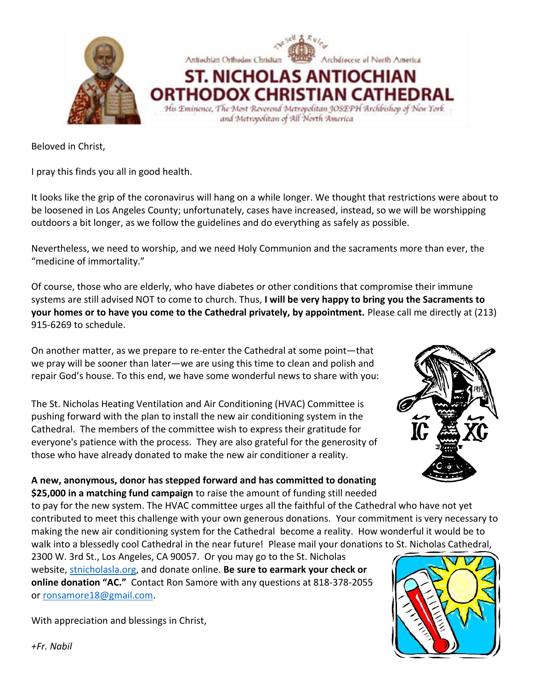

Beloved in Christ,

I pray this finds you all in good health.

It looks like the grip of the coronavirus will hang on a while longer. We thought that restrictions were about to be loosened in Los Angeles County; unfortunately, cases have increased, instead, so we will be worshipping outdoors a bit longer, as we follow the guidelines and do everything as safely as possible.

Nevertheless, we need to worship, and we need Holy Communion and the sacraments more than ever, the "medicine of immortality."

Of course, those who are elderly, who have diabetes or other conditions that compromise their immune systems are still advised NOT to come to church. Thus, **I will be very happy to bring you the Sacraments to your homes or to have you come to the Cathedral privately, by appointment.** Please call me directly at (213) 915-6269 to schedule.

On another matter, as we prepare to re-enter the Cathedral at some point—that we pray will be sooner than later—we are using this time to clean and polish and repair God's house. To this end, we have some wonderful news to share with you:

The St. Nicholas Heating Ventilation and Air Conditioning (HVAC) Committee is pushing forward with the plan to install the new air conditioning system in the Cathedral. The members of the committee wish to express their gratitude for everyone's patience with the process. They are also grateful for the generosity of those who have already donated to make the new air conditioner a reality.



### **A new, anonymous, donor has stepped forward and has committed to donating \$25,000 in a matching fund campaign** to raise the amount of funding still needed

to pay for the new system. The HVAC committee urges all the faithful of the Cathedral who have not yet contributed to meet this challenge with your own generous donations. Your commitment is very necessary to making the new air conditioning system for the Cathedral become a reality. How wonderful it would be to walk into a blessedly cool Cathedral in the near future! Please mail your donations to St. Nicholas Cathedral,

2300 W. 3rd St., Los Angeles, CA 90057. Or you may go to the St. Nicholas website, [stnicholasla.org,](http://stnicholasla.org/) and donate online. **Be sure to earmark your check or online donation "AC."** Contact Ron Samore with any questions at 818-378-2055 or [ronsamore18@gmail.com.](mailto:ronsamore18@gmail.com)

With appreciation and blessings in Christ,

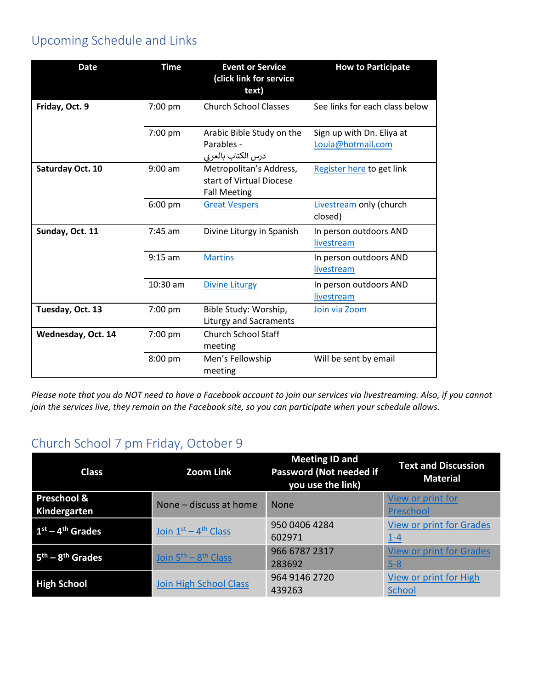# Upcoming Schedule and Links

| <b>Date</b>        | <b>Time</b>       | <b>Event or Service</b><br>(click link for service<br>text)                | <b>How to Participate</b>                      |
|--------------------|-------------------|----------------------------------------------------------------------------|------------------------------------------------|
| Friday, Oct. 9     | 7:00 pm           | <b>Church School Classes</b>                                               | See links for each class below                 |
|                    | 7:00 pm           | Arabic Bible Study on the<br>Parables -<br>درس الكتاب بالعربي              | Sign up with Dn. Eliya at<br>Louia@hotmail.com |
| Saturday Oct. 10   | $9:00$ am         | Metropolitan's Address,<br>start of Virtual Diocese<br><b>Fall Meeting</b> | Register here to get link                      |
|                    | $6:00$ pm         | <b>Great Vespers</b>                                                       | Livestream only (church<br>closed)             |
| Sunday, Oct. 11    | $7:45$ am         | Divine Liturgy in Spanish                                                  | In person outdoors AND<br>livestream           |
|                    | $9:15 \text{ am}$ | <b>Martins</b>                                                             | In person outdoors AND<br>livestream           |
|                    | 10:30 am          | <b>Divine Liturgy</b>                                                      | In person outdoors AND<br>livestream           |
| Tuesday, Oct. 13   | 7:00 pm           | Bible Study: Worship,<br>Liturgy and Sacraments                            | Join via Zoom                                  |
| Wednesday, Oct. 14 | 7:00 pm           | <b>Church School Staff</b><br>meeting                                      |                                                |
|                    | 8:00 pm           | Men's Fellowship<br>meeting                                                | Will be sent by email                          |

*Please note that you do NOT need to have a Facebook account to join our services via livestreaming. Also, if you cannot join the services live, they remain on the Facebook site, so you can participate when your schedule allows.*

# Church School 7 pm Friday, October 9

| <b>Class</b>                | <b>Zoom Link</b>       | <b>Meeting ID and</b><br>Password (Not needed if<br>you use the link) | <b>Text and Discussion</b><br><b>Material</b> |
|-----------------------------|------------------------|-----------------------------------------------------------------------|-----------------------------------------------|
| Preschool &<br>Kindergarten | None - discuss at home | <b>None</b>                                                           | View or print for<br>Preschool                |
| $1st - 4th$ Grades          | Join $1st - 4th$ Class | 950 0406 4284<br>602971                                               | <b>View or print for Grades</b><br>$1 - 4$    |
| $5th - 8th$ Grades          | Join $5th - 8th$ Class | 966 6787 2317<br>283692                                               | <b>View or print for Grades</b><br>$5 - 8$    |
| <b>High School</b>          | Join High School Class | 964 9146 2720<br>439263                                               | View or print for High<br><b>School</b>       |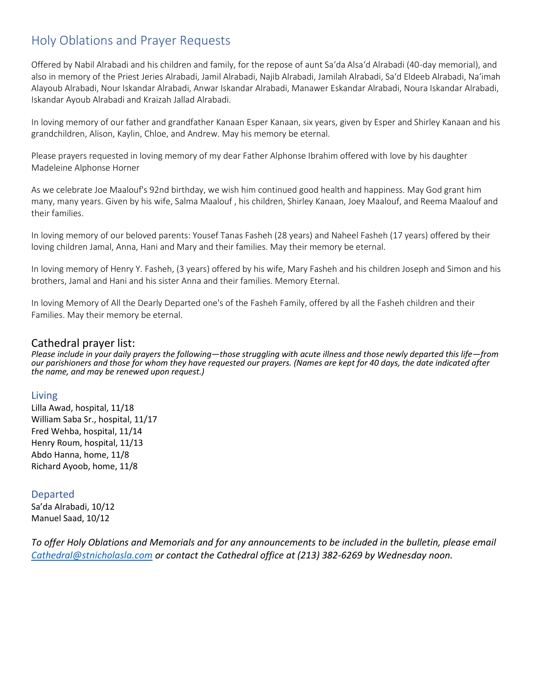# Holy Oblations and Prayer Requests

Offered by Nabil Alrabadi and his children and family, for the repose of aunt Sa'da Alsa'd Alrabadi (40-day memorial), and also in memory of the Priest Jeries Alrabadi, Jamil Alrabadi, Najib Alrabadi, Jamilah Alrabadi, Sa'd Eldeeb Alrabadi, Na'imah Alayoub Alrabadi, Nour Iskandar Alrabadi, Anwar Iskandar Alrabadi, Manawer Eskandar Alrabadi, Noura Iskandar Alrabadi, Iskandar Ayoub Alrabadi and Kraizah Jallad Alrabadi.

In loving memory of our father and grandfather Kanaan Esper Kanaan, six years, given by Esper and Shirley Kanaan and his grandchildren, Alison, Kaylin, Chloe, and Andrew. May his memory be eternal.

Please prayers requested in loving memory of my dear Father Alphonse Ibrahim offered with love by his daughter Madeleine Alphonse Horner

As we celebrate Joe Maalouf's 92nd birthday, we wish him continued good health and happiness. May God grant him many, many years. Given by his wife, Salma Maalouf , his children, Shirley Kanaan, Joey Maalouf, and Reema Maalouf and their families.

In loving memory of our beloved parents: Yousef Tanas Fasheh (28 years) and Naheel Fasheh (17 years) offered by their loving children Jamal, Anna, Hani and Mary and their families. May their memory be eternal.

In loving memory of Henry Y. Fasheh, (3 years) offered by his wife, Mary Fasheh and his children Joseph and Simon and his brothers, Jamal and Hani and his sister Anna and their families. Memory Eternal.

In loving Memory of All the Dearly Departed one's of the Fasheh Family, offered by all the Fasheh children and their Families. May their memory be eternal.

### Cathedral prayer list:

*Please include in your daily prayers the following—those struggling with acute illness and those newly departed this life—from our parishioners and those for whom they have requested our prayers. (Names are kept for 40 days, the date indicated after the name, and may be renewed upon request.)*

### Living

Lilla Awad, hospital, 11/18 William Saba Sr., hospital, 11/17 Fred Wehba, hospital, 11/14 Henry Roum, hospital, 11/13 Abdo Hanna, home, 11/8 Richard Ayoob, home, 11/8

### Departed

Sa'da Alrabadi, 10/12 Manuel Saad, 10/12

*To offer Holy Oblations and Memorials and for any announcements to be included in the bulletin, please email [Cathedral@stnicholasla.com](mailto:Cathedral@stnicholasla.com) or contact the Cathedral office at (213) 382-6269 by Wednesday noon.*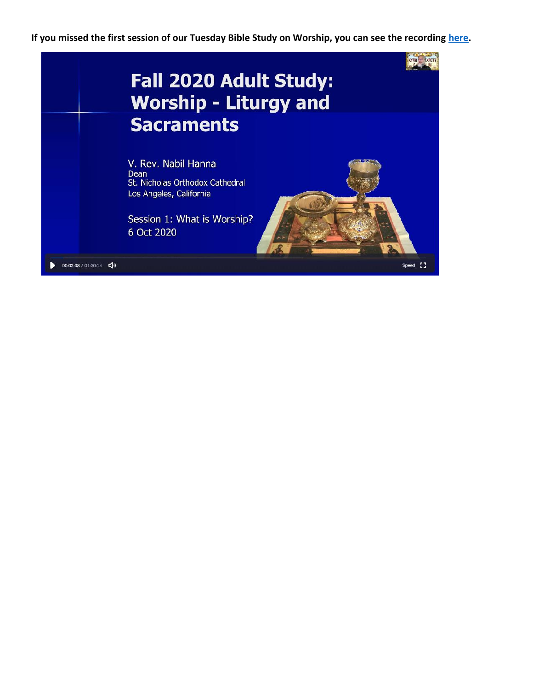**If you missed the first session of our Tuesday Bible Study on Worship, you can see the recording [here.](https://zoom.us/rec/play/85uSFT0WtbkpHfAs0k6AfgEvYOnXRpMpIdZyx5TjjUJH96pBAt8ZHDcD6t7yapYtAUmNNU5cAyfiPdw9.--yyODuzXIUsRumD)**

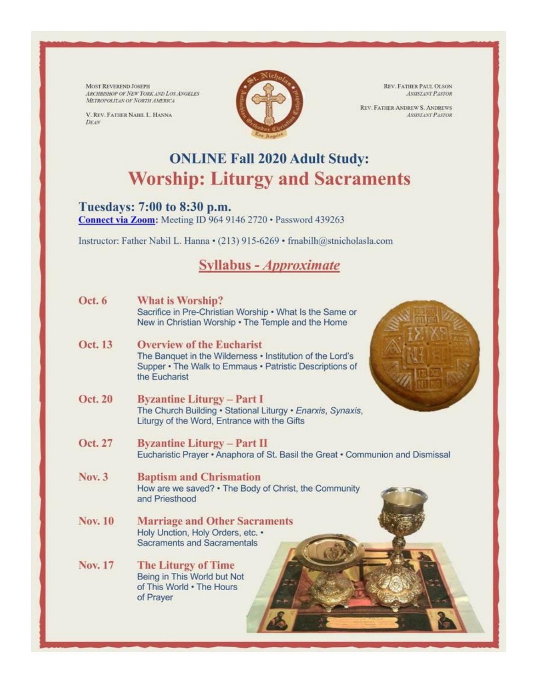MOST REVEREND JOSEPH ARCHBISHOP OF NEW YORK AND LOS ANGELES METROPOLITAN OF NORTH AMERICA

V. REV. FATHER NABIL L. HANNA DEAN



REV. FATHER PAUL OLSON ASSISTANT PASTOR

**REV. FATHER ANDREW S. ANDREWS ASSISTANT PASTOR** 

# **ONLINE Fall 2020 Adult Study: Worship: Liturgy and Sacraments**

## Tuesdays: 7:00 to 8:30 p.m.

Connect via Zoom: Meeting ID 964 9146 2720 · Password 439263

Instructor: Father Nabil L. Hanna · (213) 915-6269 · frnabilh@stnicholasla.com

# **Syllabus - Approximate**

| Oct. 6         | What is Worship?                                                                                                                      |
|----------------|---------------------------------------------------------------------------------------------------------------------------------------|
|                | Sacrifice in Pre-Christian Worship . What Is the Same or<br>New in Christian Worship . The Temple and the Home                        |
| Oct. 13        | <b>Overview of the Eucharist</b>                                                                                                      |
|                | The Banquet in the Wilderness • Institution of the Lord's<br>Supper • The Walk to Emmaus • Patristic Descriptions of<br>the Eucharist |
| <b>Oct. 20</b> | <b>Byzantine Liturgy – Part I</b>                                                                                                     |
|                | The Church Building . Stational Liturgy . Enarxis, Synaxis,<br>Liturgy of the Word, Entrance with the Gifts                           |
| Oct. 27        | <b>Byzantine Liturgy - Part II</b>                                                                                                    |
|                | Eucharistic Prayer • Anaphora of St. Basil the Great • Communion and Dismissal                                                        |
| <b>Nov. 3</b>  | <b>Baptism and Chrismation</b>                                                                                                        |
|                | How are we saved? . The Body of Christ, the Community<br>and Priesthood                                                               |
| <b>Nov. 10</b> | <b>Marriage and Other Sacraments</b>                                                                                                  |
|                | Holy Unction, Holy Orders, etc. •                                                                                                     |
|                | <b>Sacraments and Sacramentals</b>                                                                                                    |
| <b>Nov. 17</b> | <b>The Liturgy of Time</b>                                                                                                            |
|                | Being in This World but Not                                                                                                           |
|                | of This World . The Hours                                                                                                             |
|                | of Prayer                                                                                                                             |
|                |                                                                                                                                       |
|                |                                                                                                                                       |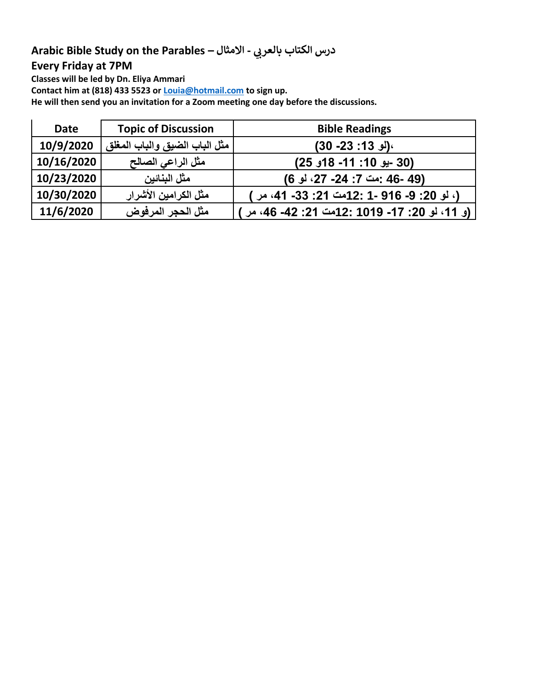# **Arabic Bible Study on the Parables – يب درس الكتاب بالعر - االمثال**

## **Every Friday at 7PM**

**Classes will be led by Dn. Eliya Ammari**

**Contact him at (818) 433 5523 or [Louia@hotmail.com](mailto:Louia@hotmail.com) to sign up.**

**He will then send you an invitation for a Zoom meeting one day before the discussions.** 

| <b>Date</b> | <b>Topic of Discussion</b>    | <b>Bible Readings</b>                            |
|-------------|-------------------------------|--------------------------------------------------|
| 10/9/2020   | مثل الباب الضيق والباب المغلق | <b>\(لو 13: 23- 30)</b>                          |
| 10/16/2020  | مثل الراعى الصالح             | (30 -يو 10: 11- 18و 25)                          |
| 10/23/2020  | مثل البنائين                  | (49 -46 :مت 7: 24- 27، لو 6)                     |
| 10/30/2020  | مثل الكرامين الأشرار          | (، لو 20: 9- 916 -1 :12مت 21: 33- 41، مر )       |
| 11/6/2020   | مثل الحجر المرفوض             | (و. 11، لو. 20: 17- 1019 :12مت 21: 42- 46، مر. ) |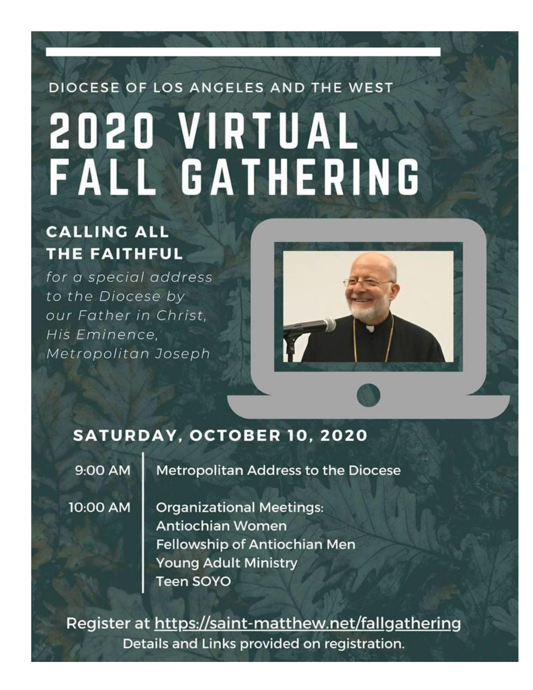# DIOCESE OF LOS ANGELES AND THE WEST 2020 VIRTUAL<br>FALL GATHERING

# **CALLING ALL** THE FAITHFUL

for a special address to the Diocese by our Father in Christ, His Eminence, Metropolitan Joseph



# **SATURDAY, OCTOBER 10, 2020**

9:00 AM

**Metropolitan Address to the Diocese** 

10:00 AM

**Organizational Meetings: Antiochian Women** Fellowship of Antiochian Men **Young Adult Ministry** Teen SOYO

Register at https://saint-matthew.net/fallgathering Details and Links provided on registration.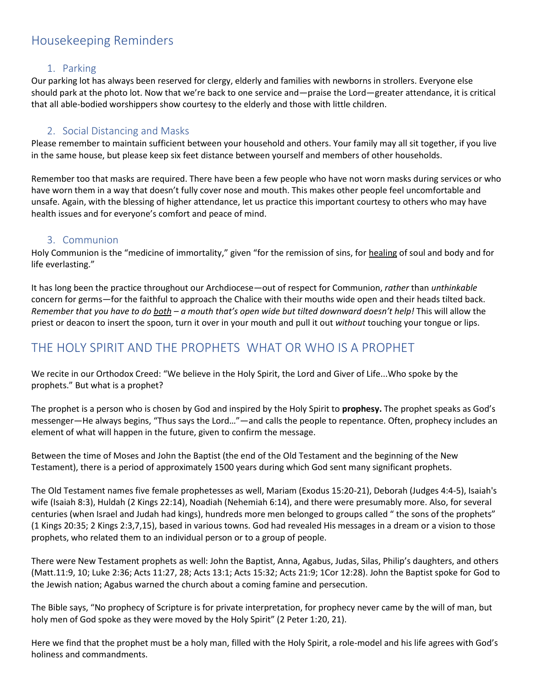## Housekeeping Reminders

### 1. Parking

Our parking lot has always been reserved for clergy, elderly and families with newborns in strollers. Everyone else should park at the photo lot. Now that we're back to one service and—praise the Lord—greater attendance, it is critical that all able-bodied worshippers show courtesy to the elderly and those with little children.

### 2. Social Distancing and Masks

Please remember to maintain sufficient between your household and others. Your family may all sit together, if you live in the same house, but please keep six feet distance between yourself and members of other households.

Remember too that masks are required. There have been a few people who have not worn masks during services or who have worn them in a way that doesn't fully cover nose and mouth. This makes other people feel uncomfortable and unsafe. Again, with the blessing of higher attendance, let us practice this important courtesy to others who may have health issues and for everyone's comfort and peace of mind.

### 3. Communion

Holy Communion is the "medicine of immortality," given "for the remission of sins, for healing of soul and body and for life everlasting."

It has long been the practice throughout our Archdiocese—out of respect for Communion, *rather* than *unthinkable* concern for germs—for the faithful to approach the Chalice with their mouths wide open and their heads tilted back. *Remember that you have to do both – a mouth that's open wide but tilted downward doesn't help!* This will allow the priest or deacon to insert the spoon, turn it over in your mouth and pull it out *without* touching your tongue or lips.

## THE HOLY SPIRIT AND THE PROPHETS WHAT OR WHO IS A PROPHET

We recite in our Orthodox Creed: "We believe in the Holy Spirit, the Lord and Giver of Life...Who spoke by the prophets." But what is a prophet?

The prophet is a person who is chosen by God and inspired by the Holy Spirit to **prophesy.** The prophet speaks as God's messenger—He always begins, "Thus says the Lord…"—and calls the people to repentance. Often, prophecy includes an element of what will happen in the future, given to confirm the message.

Between the time of Moses and John the Baptist (the end of the Old Testament and the beginning of the New Testament), there is a period of approximately 1500 years during which God sent many significant prophets.

The Old Testament names five female prophetesses as well, Mariam (Exodus 15:20-21), Deborah (Judges 4:4-5), Isaiah's wife (Isaiah 8:3), Huldah (2 Kings 22:14), Noadiah (Nehemiah 6:14), and there were presumably more. Also, for several centuries (when Israel and Judah had kings), hundreds more men belonged to groups called " the sons of the prophets" (1 Kings 20:35; 2 Kings 2:3,7,15), based in various towns. God had revealed His messages in a dream or a vision to those prophets, who related them to an individual person or to a group of people.

There were New Testament prophets as well: John the Baptist, Anna, Agabus, Judas, Silas, Philip's daughters, and others (Matt.11:9, 10; Luke 2:36; Acts 11:27, 28; Acts 13:1; Acts 15:32; Acts 21:9; 1Cor 12:28). John the Baptist spoke for God to the Jewish nation; Agabus warned the church about a coming famine and persecution.

The Bible says, "No prophecy of Scripture is for private interpretation, for prophecy never came by the will of man, but holy men of God spoke as they were moved by the Holy Spirit" (2 Peter 1:20, 21).

Here we find that the prophet must be a holy man, filled with the Holy Spirit, a role-model and his life agrees with God's holiness and commandments.